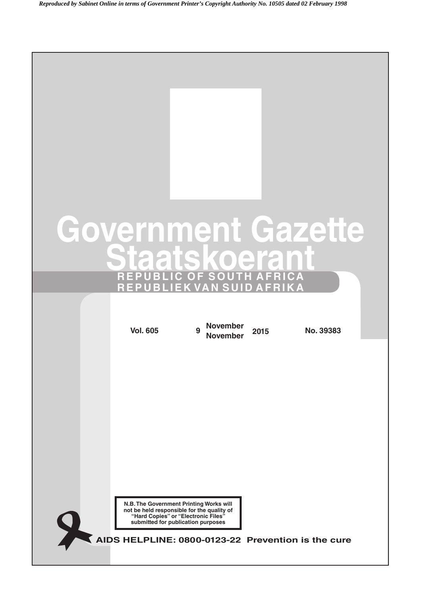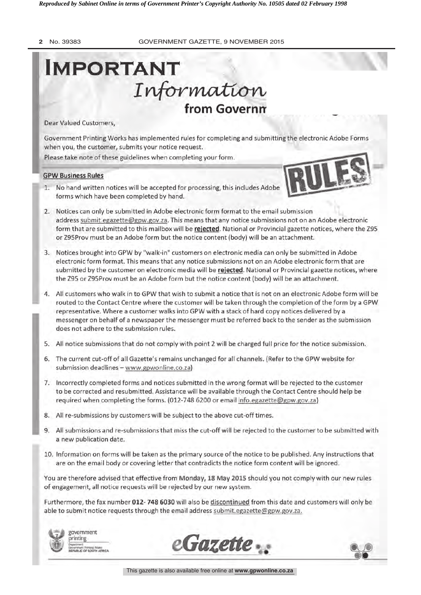# IMPORTANT Information from Governm

Dear Valued Customers,

Government Printing Works has implemented rules for completing and submitting the electronic Adobe Forms when you, the customer, submits your notice request.

Please take note of these guidelines when completing your form.

#### GPW Business Rules



- 1. No hand written notices will be accepted for processing, this includes Adobe forms which have been completed by hand.
- 2. Notices can only be submitted in Adobe electronic form format to the email submission address submit.egazette @gpw.gov.za. This means that any notice submissions not on an Adobe electronic form that are submitted to this mailbox will be rejected. National or Provincial gazette notices, where the Z95 or Z95Prov must be an Adobe form but the notice content (body) will be an attachment.
- 3. Notices brought into GPW by "walk -in" customers on electronic media can only be submitted in Adobe electronic form format. This means that any notice submissions not on an Adobe electronic form that are submitted by the customer on electronic media will be rejected. National or Provincial gazette notices, where the Z95 or Z95Prov must be an Adobe form but the notice content (body) will be an attachment.
- 4. All customers who walk in to GPW that wish to submit a notice that is not on an electronic Adobe form will be routed to the Contact Centre where the customer will be taken through the completion of the form by a GPW representative. Where a customer walks into GPW with a stack of hard copy notices delivered by a messenger on behalf of a newspaper the messenger must be referred back to the sender as the submission does not adhere to the submission rules.
- 5. All notice submissions that do not comply with point 2 will be charged full price for the notice submission.
- 6. The current cut -off of all Gazette's remains unchanged for all channels. (Refer to the GPW website for submission deadlines - www.gpwonline.co.za)
- 7. Incorrectly completed forms and notices submitted in the wrong format will be rejected to the customer to be corrected and resubmitted. Assistance will be available through the Contact Centre should help be required when completing the forms. (012 -748 6200 or email info.egazette @gpw.gov.za)
- 8. All re-submissions by customers will be subject to the above cut-off times.
- 9. All submissions and re- submissions that miss the cut -off will be rejected to the customer to be submitted with a new publication date.
- 10. Information on forms will be taken as the primary source of the notice to be published. Any instructions that are on the email body or covering letter that contradicts the notice form content will be ignored.

You are therefore advised that effective from Monday, 18 May 2015 should you not comply with our new rules of engagement, all notice requests will be rejected by our new system.

Furthermore, the fax number 012- 748 6030 will also be discontinued from this date and customers will only be able to submit notice requests through the email address submit.egazette @gpw.gov.za.



government printing Department. Printing Works



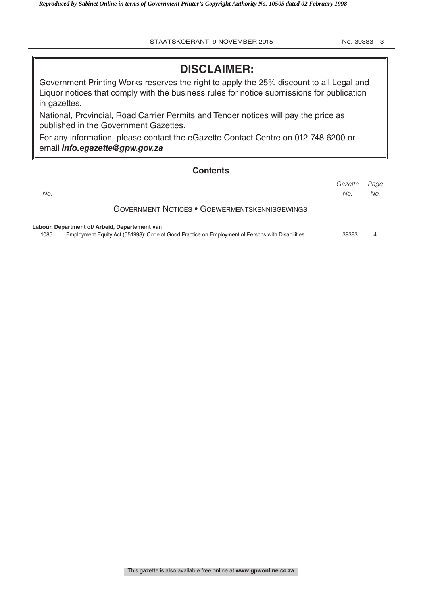## **DISCLAIMER:**

Government Printing Works reserves the right to apply the 25% discount to all Legal and Liquor notices that comply with the business rules for notice submissions for publication in gazettes.

National, Provincial, Road Carrier Permits and Tender notices will pay the price as published in the Government Gazettes.

For any information, please contact the eGazette Contact Centre on 012-748 6200 or email *info.egazette@gpw.gov.za*

#### **Contents**

|      |                                                                                                  | Gazette | Page |
|------|--------------------------------------------------------------------------------------------------|---------|------|
| No.  |                                                                                                  | No.     | No.  |
|      | <b>GOVERNMENT NOTICES • GOEWERMENTSKENNISGEWINGS</b>                                             |         |      |
|      | Labour, Department of/ Arbeid, Departement van                                                   |         |      |
| 1085 | Employment Equity Act (551998): Code of Good Practice on Employment of Persons with Disabilities | 39383   | 4    |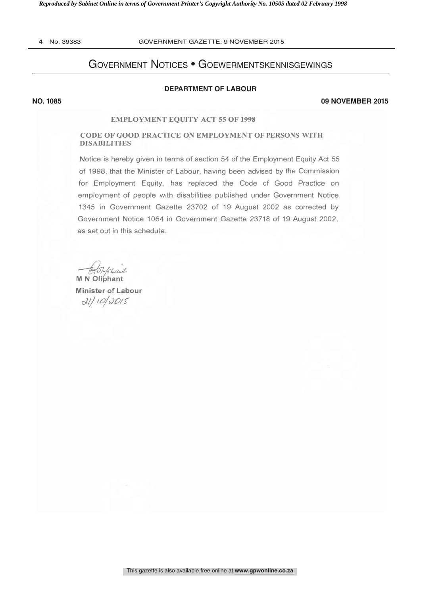4 No. 39383

**NO. 1085** 

#### GOVERNMENT GAZETTE, 9 NOVEMBER 2015

## **GOVERNMENT NOTICES • GOEWERMENTSKENNISGEWINGS**

#### **DEPARTMENT OF LABOUR**

**09 NOVEMBER 2015** 

#### **EMPLOYMENT EQUITY ACT 55 OF 1998**

#### CODE OF GOOD PRACTICE ON EMPLOYMENT OF PERSONS WITH **DISABILITIES**

Notice is hereby given in terms of section 54 of the Employment Equity Act 55 of 1998, that the Minister of Labour, having been advised by the Commission for Employment Equity, has replaced the Code of Good Practice on employment of people with disabilities published under Government Notice 1345 in Government Gazette 23702 of 19 August 2002 as corrected by Government Notice 1064 in Government Gazette 23718 of 19 August 2002, as set out in this schedule.

Hebletaut

**Minister of Labour**  $d11100015$ 

This gazette is also available free online at www.gpwonline.co.za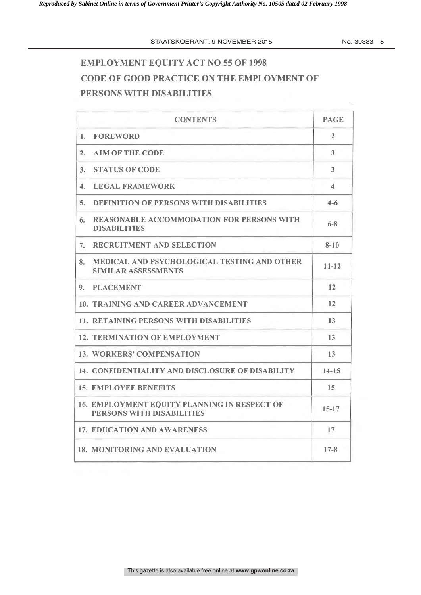No. 39383 5

# **EMPLOYMENT EQUITY ACT NO 55 OF 1998** CODE OF GOOD PRACTICE ON THE EMPLOYMENT OF PERSONS WITH DISABILITIES

|                | <b>CONTENTS</b>                                                           | <b>PAGE</b>          |
|----------------|---------------------------------------------------------------------------|----------------------|
| 1.             | <b>FOREWORD</b>                                                           | $\overline{2}$       |
| 2.             | <b>AIM OF THE CODE</b>                                                    | 3                    |
| 3.             | <b>STATUS OF CODE</b>                                                     | 3                    |
| $\mathbf{4}$ . | <b>LEGAL FRAMEWORK</b>                                                    | $\blacktriangleleft$ |
| 5.             | <b>DEFINITION OF PERSONS WITH DISABILITIES</b>                            | $4 - 6$              |
| 6.             | <b>REASONABLE ACCOMMODATION FOR PERSONS WITH</b><br><b>DISABILITIES</b>   | $6 - 8$              |
| 7.             | <b>RECRUITMENT AND SELECTION</b>                                          | $8 - 10$             |
| 8.             | MEDICAL AND PSYCHOLOGICAL TESTING AND OTHER<br><b>SIMILAR ASSESSMENTS</b> | $11 - 12$            |
| 9.             | <b>PLACEMENT</b>                                                          | 12                   |
|                | 10. TRAINING AND CAREER ADVANCEMENT                                       | 12                   |
|                | <b>11. RETAINING PERSONS WITH DISABILITIES</b>                            | 13                   |
|                | <b>12. TERMINATION OF EMPLOYMENT</b>                                      | 13                   |
|                | <b>13. WORKERS' COMPENSATION</b>                                          | 13                   |
|                | 14. CONFIDENTIALITY AND DISCLOSURE OF DISABILITY                          | $14 - 15$            |
|                | <b>15. EMPLOYEE BENEFITS</b>                                              | 15                   |
|                | 16. EMPLOYMENT EQUITY PLANNING IN RESPECT OF<br>PERSONS WITH DISABILITIES | $15 - 17$            |
|                | <b>17. EDUCATION AND AWARENESS</b>                                        | 17                   |
|                | <b>18. MONITORING AND EVALUATION</b>                                      | $17 - 8$             |
|                |                                                                           |                      |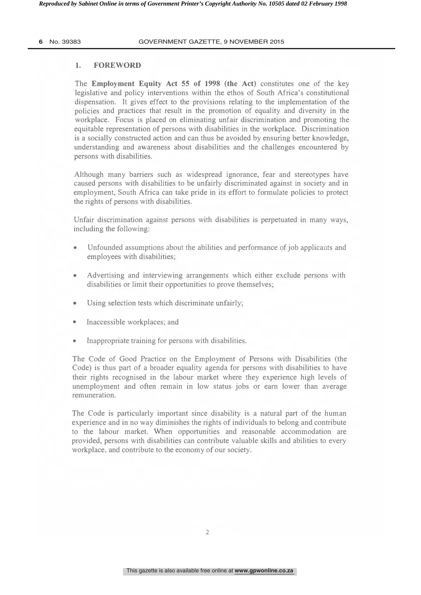#### 1. FOREWORD

The Employment Equity Act 55 of 1998 (the Act) constitutes one of the key legislative and policy interventions within the ethos of South Africa's constitutional dispensation. It gives effect to the provisions relating to the implementation of the policies and practices that result in the promotion of equality and diversity in the workplace. Focus is placed on eliminating unfair discrimination and promoting the equitable representation of persons with disabilities in the workplace. Discrimination is a socially constructed action and can thus be avoided by ensuring better knowledge, understanding and awareness about disabilities and the challenges encountered by persons with disabilities.

Although many barriers such as widespread ignorance, fear and stereotypes have caused persons with disabilities to be unfairly discriminated against in society and in employment, South Africa can take pride in its effort to formulate policies to protect the rights of persons with disabilities.

Unfair discrimination against persons with disabilities is perpetuated in many ways, including the following:

- Unfounded assumptions about the abilities and performance of job applicants and employees with disabilities;
- Advertising and interviewing arrangements which either exclude persons with disabilities or limit their opportunities to prove themselves;
- Using selection tests which discriminate unfairly;
- Inaccessible workplaces; and
- Inappropriate training for persons with disabilities.

The Code of Good Practice on the Employment of Persons with Disabilities (the Code) is thus part of a broader equality agenda for persons with disabilities to have their rights recognised in the labour market where they experience high levels of unemployment and often remain in low status jobs or earn lower than average remuneration.

The Code is particularly important since disability is a natural part of the human experience and in no way diminishes the rights of individuals to belong and contribute to the labour market. When opportunities and reasonable accommodation are provided, persons with disabilities can contribute valuable skills and abilities to every workplace, and contribute to the economy of our society.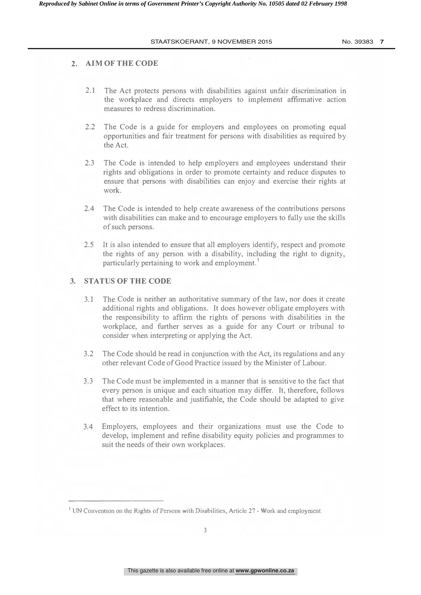#### 2. AIM OF THE CODE

- 2.1 The Act protects persons with disabilities against unfair discrimination in the workplace and directs employers to implement affirmative action measures to redress discrimination.
- 2.2 The Code is a guide for employers and employees on promoting equal opportunities and fair treatment for persons with disabilities as required by the Act.
- 2.3 The Code is intended to help employers and employees understand their rights and obligations in order to promote certainty and reduce disputes to ensure that persons with disabilities can enjoy and exercise their rights at work.
- 2.4 The Code is intended to help create awareness of the contributions persons with disabilities can make and to encourage employers to fully use the skills of such persons.
- 2.5 It is also intended to ensure that all employers identify, respect and promote the rights of any person with a disability, including the right to dignity, particularly pertaining to work and employment.<sup>1</sup>

#### 3. STATUS OF THE CODE

- 3.1 The Code is neither an authoritative summary of the law, nor does it create additional rights and obligations. It does however obligate employers with the responsibility to affirm the rights of persons with disabilities in the workplace, and further serves as a guide for any Court or tribunal to consider when interpreting or applying the Act.
- 3.2 The Code should be read in conjunction with the Act, its regulations and any other relevant Code of Good Practice issued by the Minister of Labour.
- 3.3 The Code must be implemented in a manner that is sensitive to the fact that every person is unique and each situation may differ. It, therefore, follows that where reasonable and justifiable, the Code should be adapted to give effect to its intention.
- 3.4 Employers, employees and their organizations must use the Code to develop, implement and refine disability equity policies and programmes to suit the needs of their own workplaces.

UN Convention on the Rights of Persons with Disabilities, Article 27 - Work and employment.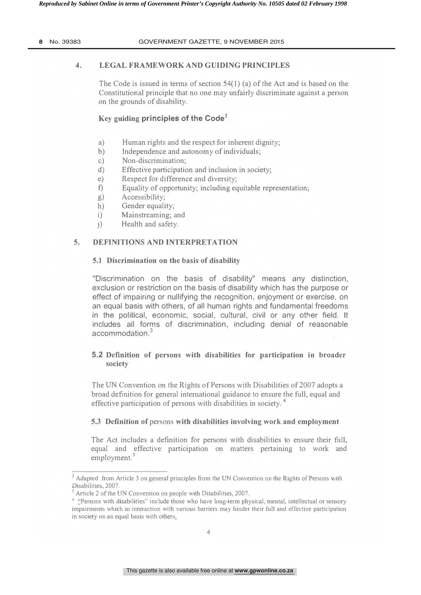8 No. 39383

#### GOVERNMENT GAZETTE, 9 NOVEMBER 2015

#### $\overline{4}$ . **LEGAL FRAMEWORK AND GUIDING PRINCIPLES**

The Code is issued in terms of section  $54(1)$  (a) of the Act and is based on the Constitutional principle that no one may unfairly discriminate against a person on the grounds of disability.

#### Key guiding principles of the Code<sup>2</sup>

- a) Human rights and the respect for inherent dignity;
- $b)$ Independence and autonomy of individuals;
- Non-discrimination:  $\mathcal{C}$ )
- Effective participation and inclusion in society:  $d)$
- Respect for difference and diversity:  $e)$
- $f$ Equality of opportunity; including equitable representation;
- Accessibility;  $g)$
- $h)$ Gender equality;
- $i)$ Mainstreaming; and
- Health and safety.  $\left( i\right)$

#### $5.$ **DEFINITIONS AND INTERPRETATION**

#### 5.1 Discrimination on the basis of disability

"Discrimination on the basis of disability" means any distinction, exclusion or restriction on the basis of disability which has the purpose or effect of impairing or nullifying the recognition, enjoyment or exercise, on an equal basis with others, of all human rights and fundamental freedoms in the political, economic, social, cultural, civil or any other field. It includes all forms of discrimination, including denial of reasonable accommodation<sup>3</sup>

#### 5.2 Definition of persons with disabilities for participation in broader society

The UN Convention on the Rights of Persons with Disabilities of 2007 adopts a broad definition for general international guidance to ensure the full, equal and effective participation of persons with disabilities in society.<sup>4</sup>

#### 5.3 Definition of persons with disabilities involving work and employment

The Act includes a definition for persons with disabilities to ensure their full, equal and effective participation on matters pertaining to work and employment.

<sup>&</sup>lt;sup>2</sup> Adapted from Article 3 on general principles from the UN Convention on the Rights of Persons with Disabilities, 2007.

Article 2 of the UN Convention on people with Disabilities, 2007.

<sup>&</sup>lt;sup>4</sup> "Persons with disabilities" include those who have long-term physical, mental, intellectual or sensory impairments which in interaction with various barriers may hinder their full and effective participation in society on an equal basis with others.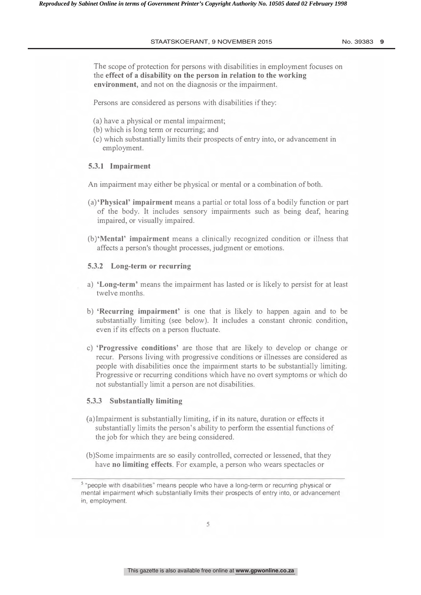The scope of protection for persons with disabilities in employment focuses on the effect of a disability on the person in relation to the working environment, and not on the diagnosis or the impairment.

Persons are considered as persons with disabilities if they:

- (a) have a physical or mental impairment;
- (b) which is long term or recurring; and
- (c) which substantially limits their prospects of entry into, or advancement in employment.

#### 5.3.1 Impairment

An impairment may either be physical or mental or a combination of both.

- (a) **Physical' impairment** means a partial or total loss of a bodily function or part of the body. It includes sensory impairments such as being deaf, hearing impaired, or visually impaired.
- (b) Mental' impairment means a clinically recognized condition or illness that affects a person's thought processes, judgment or emotions.

#### 5.3.2 Long-term or recurring

- a) 'Long-term' means the impairment has lasted or is likely to persist for at least twelve months.
- b) **Recurring impairment** is one that is likely to happen again and to be substantially limiting (see below). It includes a constant chronic condition, even if its effects on a person fluctuate.
- c) **Progressive conditions** are those that are likely to develop or change or recur. Persons living with progressive conditions or illnesses are considered as people with disabilities once the impairment starts to be substantially limiting. Progressive or recurring conditions which have no overt symptoms or which do not substantially limit a person are not disabilities.

#### 5.3.3 Substantially limiting

- (a) Impairment is substantially limiting, if in its nature, duration or effects it substantially limits the person's ability to perform the essential functions of the job for which they are being considered.
- (b) Some impairments are so easily controlled, corrected or lessened, that they have no limiting effects. For example, a person who wears spectacles or

 $\degree$  "people with disabilities" means people who have a long-term or recurring physical or mental impairment which substantially limits their prospects of entry into, or advancement in, employment.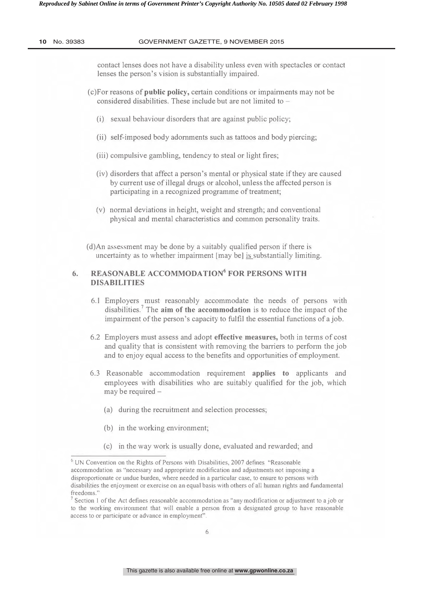contact lenses does not have a disability unless even with spectacles or contact lenses the person's vision is substantially impaired.

- (c) For reasons of **public policy**, certain conditions or impairments may not be considered disabilities. These include but are not limited to  $-$ 
	- (i) sexual behaviour disorders that are against public policy;
	- (ii) self-imposed body adornments such as tattoos and body piercing;
	- (iii) compulsive gambling, tendency to steal or light fires;
	- (iv) disorders that affect a person's mental or physical state if they are caused by current use of illegal drugs or alcohol, unless the affected person is participating in a recognized programme of treatment;
	- (v) normal deviations in height, weight and strength; and conventional physical and mental characteristics and common personality traits.
- $(d)$ An assessment may be done by a suitably qualified person if there is uncertainty as to whether impairment [may be] is substantially limiting.

#### 6. REASONABLE ACCOMMODATION $^6$  FOR PERSONS WITH DISARILITIES

- 6.1 Employers must reasonably accommodate the needs of persons with disabilities.<sup>7</sup> The **aim of the accommodation** is to reduce the impact of the impairment of the person's capacity to fulfil the essential functions of a job.
- 6.2 Employers must assess and adopt effective measures, both in terms of cost and quality that is consistent with removing the barriers to perform the job and to enjoy equal access to the benefits and opportunities of employment.
- 6.3 Reasonable accommodation requirement applies to applicants and employees with disabilities who are suitably qualified for the job, which may be required -
	- (a) during the recruitment and selection processes;
	- (b) in the working environment;
	- (c) in the way work is usually done, evaluated and rewarded; and

UN Convention on the Rights of Persons with Disabilities, 2007 defines "Reasonable" accommodation as "necessary and appropriate modification and adjustments not imposing a disproportionate or undue burden, where needed in a particular case, to ensure to persons with disabilities the enjoyment or exercise on an equal basis with others of all human rights and fundamental freedoms'

Section 1 of the Act defines reasonable accommodation as "any modification or adjustment to a job or to the working environment that will enable a person from a designated group to have reasonable access to or participate or advance in employment".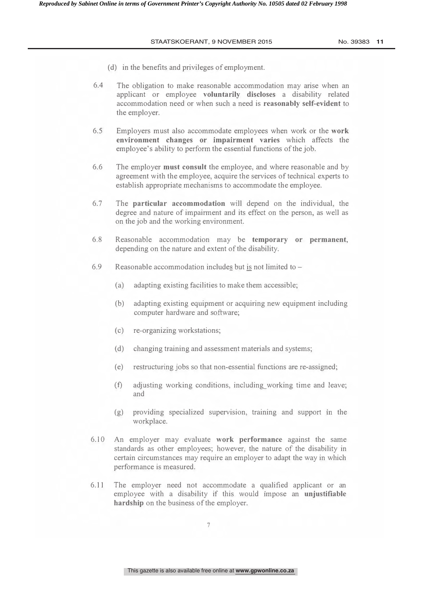- (d) in the benefits and privileges of employment.
- 6.4 The obligation to make reasonable accommodation may arise when an applicant or employee voluntarily discloses a disability related accommodation need or when such a need is reasonably self-evident to the employer.
- 6.5 Employers must also accommodate employees when work or the work environment changes or impairment varies which affects the employee's ability to perform the essential functions of the job.
- 6.6 The employer **must consult** the employee, and where reasonable and by agreement with the employee, acquire the services of technical experts to establish appropriate mechanisms to accommodate the employee.
- 6.7 The **particular accommodation** will depend on the individual, the degree and nature of impairment and its effect on the person, as well as on the job and the working environment.
- $6.8$ asonable accommodation may be temporary or permanent, depending on the nature and extent of the disability.
- 6.9 asonable accommodation includes but is not limited to –
	- (a) adapting existing facilities to make them accessible;
	- (b) adapting existing equipment or acquiring new equipment including computer hardware and software;
	- $(c)$ re-organizing workstations:
	- (d) changing training and assessment materials and systems;
	- $(e)$  re structuring jobs so that non-essential functions are re-assigned;
	- (f) adjusting working conditions, including working time and leave; and
	- (g) providing specialized supervision, training and support in the workplace.
- $6.10$  An employer may evaluate work performance against the same standards as other employees; however, the nature of the disability in certain circumstances may require an employer to adapt the way in which performance is measured.
- 6.11 The employer need not accommodate a qualified applicant or an employee with a disability if this would impose an unjustifiable hardship on the business of the employer.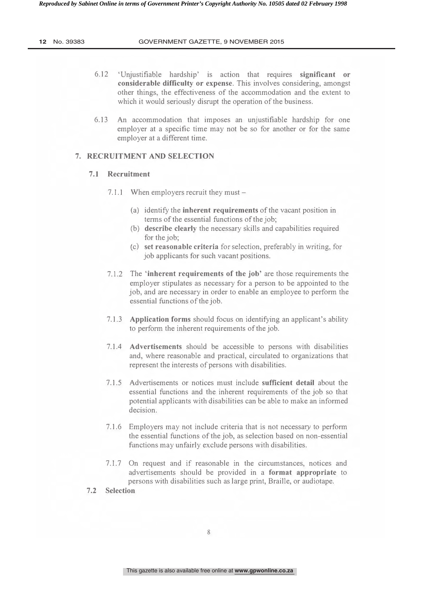12 No. 39383

- $6.12$ 'Uniustifiable hardship' is action that requires significant or considerable difficulty or expense. This involves considering, amongst other things, the effectiveness of the accommodation and the extent to which it would seriously disrupt the operation of the business.
- 6.13 An accommodation that imposes an unjustifiable hardship for one employer at a specific time may not be so for another or for the same employer at a different time.

#### 7. RECRUITMENT AND SELECTION

#### 7.1 Recruitment

- 7.1.1 When employers recruit they must  $-$ 
	- (a) identify the **inherent requirements** of the vacant position in terms of the essential functions of the job;
	- (b) describe clearly the necessary skills and capabilities required for the job:
	- (c) set reasonable criteria for selection, preferably in writing, for job applicants for such vacant positions.
- 7.1.2 The 'inherent requirements of the job' are those requirements the employer stipulates as necessary for a person to be appointed to the job, and are necessary in order to enable an employee to perform the essential functions of the job.
- 7.1.3 Application forms should focus on identifying an applicant's ability to perform the inherent requirements of the job.
- 7.1.4 **Advertisements** should be accessible to persons with disabilities and, where reasonable and practical, circulated to organizations that represent the interests of persons with disabilities.
- 7.1.5 Advertisements or notices must include sufficient detail about the essential functions and the inherent requirements of the job so that potential applicants with disabilities can be able to make an informed decision.
- 7.1.6 Employers may not include criteria that is not necessary to perform the essential functions of the job, as selection based on non-essential functions may unfairly exclude persons with disabilities.
- 7.1.7 On request and if reasonable in the circumstances, notices and advertisements should be provided in a format appropriate to persons with disabilities such as large print, Braille, or audiotape.

#### 7.2 Selection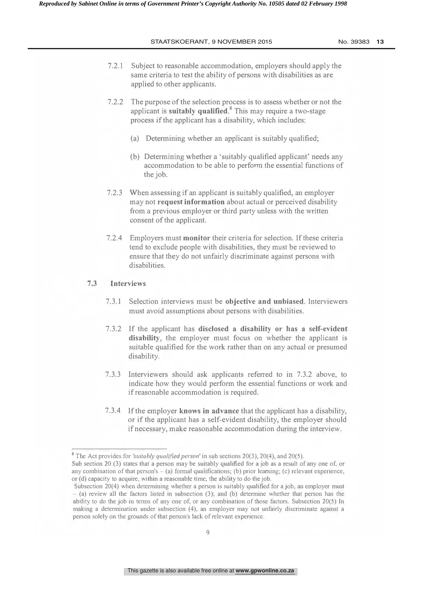- 7.2.1 Subject to reasonable accommodation, employers should apply the same criteria to test the ability of persons with disabilities as are applied to other applicants.
- 7.2.2 The purpose of the selection process is to assess whether or not the applicant is suitably qualified.<sup>8</sup> This may require a two-stage process if the applicant has a disability, which includes:
	- (a) Determining whether an applicant is suitably qualified;
	- (b) Determining whether a 'suitably qualified applicant' needs any accommodation to be able to perform the essential functions of the job.
- 7.2.3 When assessing if an applicant is suitably qualified, an employer may not request information about actual or perceived disability from a previous employer or third party unless with the written consent of the applicant.
- 7.2.4 Employers must monitor their criteria for selection. If these criteria tend to exclude people with disabilities, they must be reviewed to ensure that they do not unfairly discriminate against persons with disabilities.

#### 7.3 Interviews

- $7.3.1$ lection interviews must be objective and unbiased. Interviewers must avoid assumptions about persons with disabilities.
- 7.3.2 If the applicant has disclosed a disability or has a self-evident disability, the employer must focus on whether the applicant is suitable qualified for the work rather than on any actual or presumed disability.
- 7.3.3 Interviewers should ask applicants referred to in 7.3.2 above, to indicate how they would perform the essential functions or work and if reasonable accommodation is required.
- 7.3.4 If the employer knows in advance that the applicant has a disability, or if the applicant has a self-evident disability, the employer should if necessary, make reasonable accommodation during the interview.

<sup>&</sup>lt;sup>8</sup> The Act provides for 'suitably qualified person' in sub sections 20(3), 20(4), and 20(5).

Sub section 20 (3) states that a person may be suitably qualified for a job as a result of any one of, or any combination of that person's – (a) formal qualifications; (b) prior learning; (c) relevant experience, or (d) capacity to acquire, within a reasonable time, the ability to do the job.

Subsection  $20(4)$  when determining whether a person is suitably qualified for a job, an employer must - (a) review all the factors listed in subsection (3); and (b) determine whether that person has the ability to do the job in terms of any one of, or any combination of those factors. Subsection 20(5) In making a determination under subsection (4), an employer may not unfairly discriminate against a person solely on the grounds of that person's lack of relevant experience.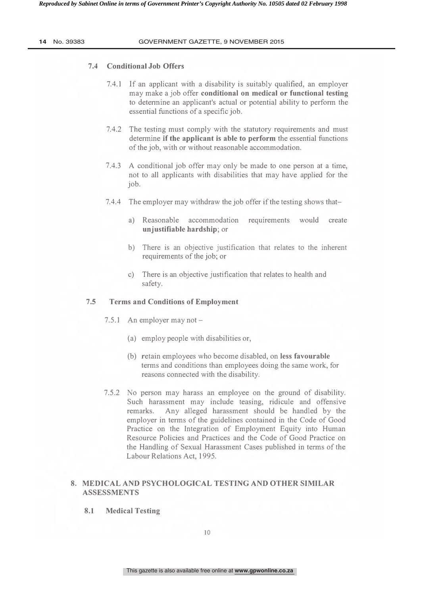#### 7.4 Conditional Job Offers

- 7.4.1 If an applicant with a disability is suitably qualified, an employer may make a job offer conditional on medical or functional testing to determine an applicant's actual or potential ability to perform the essential functions of a specific job.
- 7.4.2 The testing must comply with the statutory requirements and must determine if the applicant is able to perform the essential functions of the job, with or without reasonable accommodation.
- 7.4.3 A conditional job offer may only be made to one person at a time, not to all applicants with disabilities that may have applied for the job.
- 7.4.4 The employer may withdraw the job offer if the testing shows that
	- a) Reasonable accommodation requirements would create un justifiable hardship; or
	- b) There is an objective justification that relates to the inherent requirements of the job; or
	- c) There is an objective justification that relates to health and safety.

#### 7.5 Terms and Conditions of Employment

- 7.5.1 An employer may not  $-$ 
	- (a) employ people with disabilities or,
	- (b) retain employees who become disabled, on less favourable terms and conditions than employees doing the same work, for reasons connected with the disability.
- 7.5.2 No person may harass an employee on the ground of disability. Such harassment may include teasing, ridicule and offensive remarks. Any alleged harassment should be handled by the employer in terms of the guidelines contained in the Code of Good Practice on the Integration of Employment Equity into Human Resource Policies and Practices and the Code of Good Practice on the Handling of Sexual Harassment Cases published in terms of the Labour Relations Act, 1995.

#### 8.MEDICAL AND PSYCHOLOGICAL TESTING AND OTHER SIMILAR **ASSESSMENTS**

8.1 Medical Testing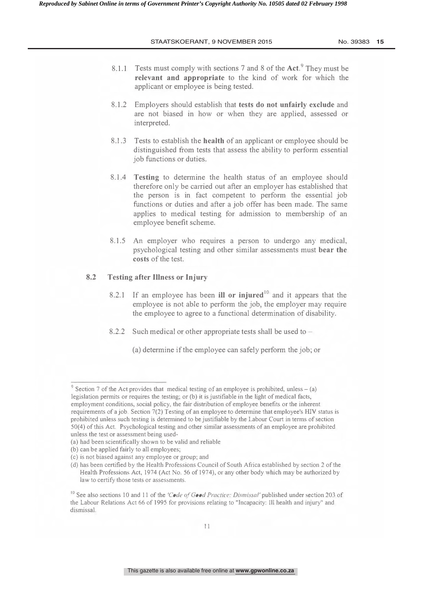- 8.1.1 Tests must comply with sections 7 and 8 of the Act.<sup>9</sup> They must be relevant and appropriate to the kind of work for which the applicant or employee is being tested.
- 8.1.2 Employers should establish that tests do not unfairly exclude and are not biased in how or when they are applied, assessed or interpreted.
- $8.1.3$  Tests to establish the health of an applicant or employee should be distinguished from tests that assess the ability to perform essential job functions or duties.
- 8.1.4 Testing to determine the health status of an employee should therefore only be carried out after an employer has established that the person is in fact competent to perform the essential job functions or duties and after a job offer has been made. The same applies to medical testing for admission to membership of an employee benefit scheme.
- 8.1.5 An employer who requires a person to undergo any medical, psychological testing and other similar assessments must bear the costs of the test.

#### 8.2 Testing after Illness or Injury

- 8.2.1 If an employee has been ill or injured<sup>to</sup> and it appears that the employee is not able to perform the job, the employer may require the employee to agree to a functional determination of disability.
- 8.2.2 Such medical or other appropriate tests shall be used to  $-$ 
	- (a) determine if the employee can safely perform the job; or

Section 7 of the Act provides that medical testing of an employee is prohibited, unless  $-$  (a) legislation permits or requires the testing; or (b) it is justifiable in the light of medical facts, employment conditions, social policy, the fair distribution of employee benefits or the inherent requirements of a job. Section 7(2) Testing of an employee to determine that employee's HIV status is prohibited unless such testing is determined to be justifiable by the Labour Court in terms of section 50(4) of this Act. Psychological testing and other similar assessments of an employee are prohibited unless the test or assessment being used-

<sup>(</sup>a) had been scientifically shown to be valid and reliable

<sup>(</sup>b) can be applied fairly to all employees;

<sup>(</sup>c) is not biased against any employee or group; and

<sup>(</sup>d) has been certified by the Health Professions Council of South Africa established by section 2 of the Health Professions Act, 1974 (Act No. 56 of 1974), or any other body which may be authorized by law to certify those tests or assessments.

<sup>&</sup>lt;sup>10</sup> See also sections 10 and 11 of the 'Code of Good Practice: Dismissal' published under section 203 of the Labour Relations Act 66 of 1995 for provisions relating to "Incapacity: Ill health and injury" and dismissal.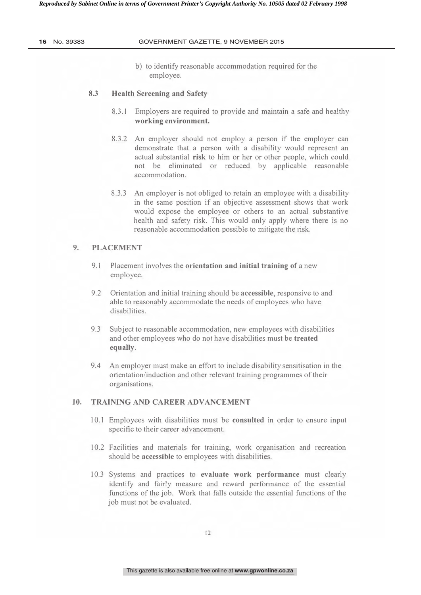b) to identify reasonable accommodation required for the employee.

#### 8.3 Health Screening and Safety

- 8.3.1 Employers are required to provide and maintain a safe and healthy working environment.
- 8.3.2 An employer should not employ a person if the employer can demonstrate that a person with a disability would represent an actual substantial risk to him or her or other people, which could not be eliminated or reduced by applicable reasonable accommodation.
- 8.3.3 An employer is not obliged to retain an employee with a disability in the same position if an objective assessment shows that work would expose the employee or others to an actual substantive health and safety risk. This would only apply where there is no reasonable accommodation possible to mitigate the risk.

### 9. PLACEMENT

- 9.1 Placement involves the orientation and initial training of a new employee.
- $9.2$ ntation and initial training should be accessible, responsive to and able to reasonably accommodate the needs of employees who have disabilities.
- 9.3 Subject to reasonable accommodation, new employees with disabilities and other employees who do not have disabilities must be treated equally.
- 9.4 An employer must make an effort to include disability sensitisation in the orientation/induction and other relevant training programmes of their organisations.

#### 10. TRAINING AND CAREER ADVANCEMENT

- 10.1 Employees with disabilities must be consulted in order to ensure input specific to their career advancement.
- 10.2 Facilities and materials for training, work organisation and recreation should be accessible to employees with disabilities.
- 10.3 Systems and practices to evaluate work performance must clearly identify and fairly measure and reward performance of the essential functions of the job. Work that falls outside the essential functions of the job must not be evaluated.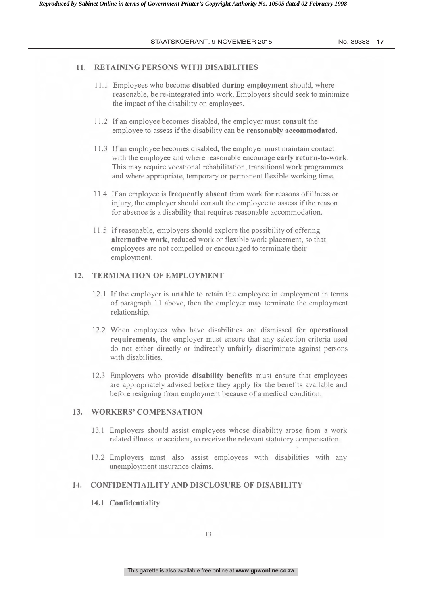#### 11. RETAINING PERSONS WITH DISABILITIES

- 11.1 Employees who become disabled during employment should, where reasonable, be re-integrated into work. Employers should seek to minimize the impact of the disability on employees.
- 11.2 If an employee becomes disabled, the employer must consult the employee to assess if the disability can be reasonably accommodated.
- 11.3 If an employee becomes disabled, the employer must maintain contact with the employee and where reasonable encourage early return-to-work. This may require vocational rehabilitation, transitional work programmes and where appropriate, temporary or permanent flexible working time.
- 11.4 If an employee is frequently absent from work for reasons of illness or injury, the employer should consult the employee to assess if the reason for absence is a disability that requires reasonable accommodation.
- 11.5 If reasonable, employers should explore the possibility of offering alternative work, reduced work or flexible work placement, so that employees are not compelled or encouraged to terminate their employment.

#### 12. TERMINATION OF EMPLOYMENT

- 12.1 If the employer is unable to retain the employee in employment in terms of paragraph 11 above, then the employer may terminate the employment relationship.
- 12.2 When employees who have disabilities are dismissed for operational requirements, the employer must ensure that any selection criteria used do not either directly or indirectly unfairly discriminate against persons with disabilities.
- 12.3 Employers who provide disability benefits must ensure that employees are appropriately advised before they apply for the benefits available and before resigning from employment because of a medical condition.

#### 13. WORKERS' COMPENSATION

- 13.1 Employers should assist employees whose disability arose from a work related illness or accident, to receive the relevant statutory compensation.
- 13.2 Employers must also assist employees with disabilities with any unemployment insurance claims.

#### 14. CONFIDENTIAILITY AND DISCLOSURE OF DISABILITY

#### 14.1 Confidentiality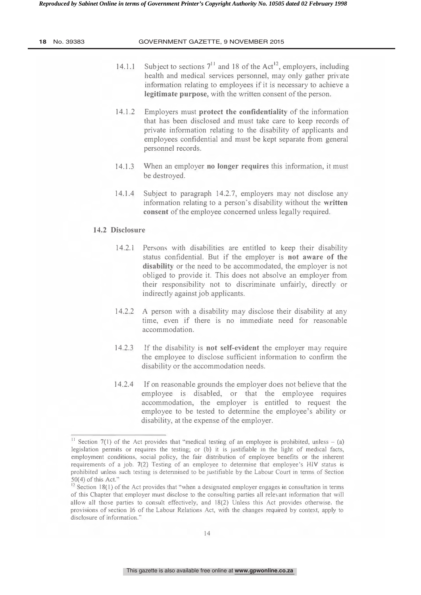- 14.1.1 Subject to sections  $7^{11}$  and 18 of the Act<sup>12</sup>, employers, including health and medical services personnel, may only gather private information relating to employees if it is necessary to achieve a legitimate purpose, with the written consent of the person.
- 14.1.2 Employers must protect the confidentiality of the information that has been disclosed and must take care to keep records of private information relating to the disability of applicants and employees confidential and must be kept separate from general personnel records.
- 14.1.3 When an employer no longer requires this information, it must be destroyed.
- 14.1.4 Subject to paragraph 14.2.7, employers may not disclose any information relating to a person's disability without the written consent of the employee concerned unless legally required.

#### 14.2 Disclosure

- 14.2.1 Persons with disabilities are entitled to keep their disability status confidential. But if the employer is not aware of the disability or the need to be accommodated, the employer is not obliged to provide it. This does not absolve an employer from their responsibility not to discriminate unfairly, directly or indirectly against job applicants.
- 14.2.2 A person with a disability may disclose their disability at any time, even if there is no immediate need for reasonable accommodation.
- 14.2.3 If the disability is **not self-evident** the employer may require the employee to disclose sufficient information to confirm the disability or the accommodation needs.
- 14.2.4 If on reasonable grounds the employer does not believe that the employee is disabled, or that the employee requires accommodation, the employer is entitled to request the employee to be tested to determine the employee's ability or disability, at the expense of the employer.

 $\cdot$  Section 7(1) of the Act provides that "medical testing of an employee is prohibited, unless – (a) legislation permits or requires the testing; or (b) it is justifiable in the light of medical facts, employment conditions, social policy, the fair distribution of employee benefits or the inherent requirements of a job.  $7(2)$  Testing of an employee to determine that employee's HIV status is prohibited unless such testing is determined to be justifiable by the Labour Court in terms of Section  $50(4)$  of this Act."

 $^{12}$  Section 18(1) of the Act provides that "when a designated employer engages in consultation in terms of this Chapter that employer must disclose to the consulting parties all relevant information that will allow all those parties to consult effectively, and 18(2) Unless this Act provides otherwise, the provisions of section 16 of the Labour Relations Act, with the changes required by context, apply to disclosure of information."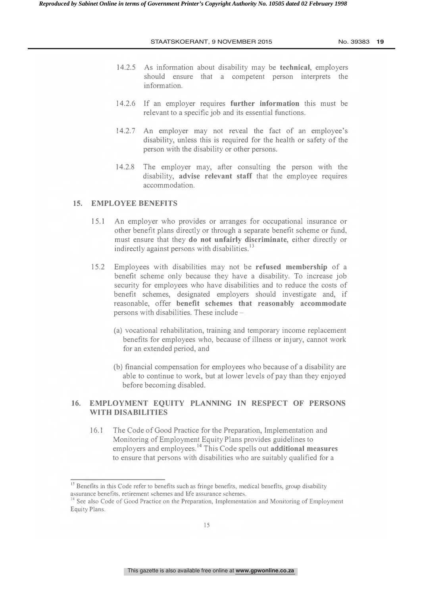- 14.2.5 As information about disability may be **technical**, employers should ensure that a competent person interprets the information.
- 14.2.6 If an employer requires further information this must be relevant to a specific job and its essential functions.
- 14.2.7 An employer may not reveal the fact of an employee's disability, unless this is required for the health or safety of the person with the disability or other persons.
- 14.2.8 The employer may, after consulting the person with the disability, advise relevant staff that the employee requires accommodation

#### 15. EMPLOYEE BENEFITS

- 15.1 An employer who provides or arranges for occupational insurance or other benefit plans directly or through a separate benefit scheme or fund, must ensure that they **do not unfairly discriminate**, either directly or indirectly against persons with disabilities.<sup>13</sup>
- 15.2 Employees with disabilities may not be **refused membership** of a benefit scheme only because they have a disability. To increase job security for employees who have disabilities and to reduce the costs of benefit schemes, designated employers should investigate and, if reasonable, offer benefit schemes that reasonably accommodate persons with disabilities. These include -
	- (a) vocational rehabilitation, training and temporary income replacement benefits for employees who, because of illness or injury, cannot work for an extended period, and
	- (b) financial compensation for employees who because of a disability are able to continue to work, but at lower levels of pay than they enjoyed before becoming disabled.

#### 16. EMPLOYMENT EQUITY PLANNING IN RESPECT OF PERSONS WITH DISABILITIES

16.1 The Code of Good Practice for the Preparation, Implementation and Monitoring of Employment Equity Plans provides guidelines to employers and employees. <sup>"</sup> This Code spells out **additional measures** to ensure that persons with disabilities who are suitably qualified for a

 $^\circ$  Benefits in this Code refer to benefits such as fringe benefits, medical benefits, group disability assurance benefits, retirement schemes and life assurance schemes.

 $14$  See also Code of Good Practice on the Preparation, Implementation and Monitoring of Employment Equity Plans.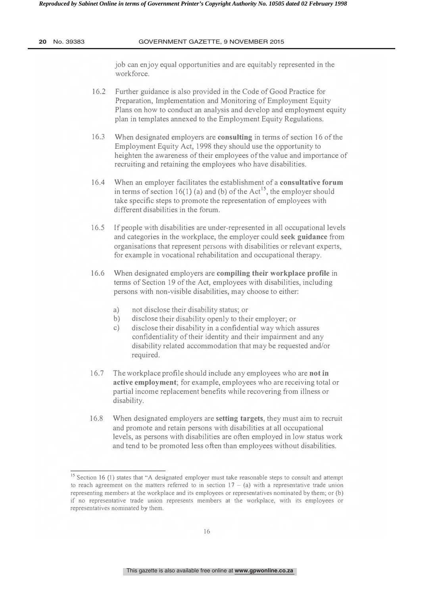job can enjoy equal opportunities and are equitably represented in the workforce.

- 16.2 Further guidance is also provided in the Code of Good Practice for Preparation, Implementation and Monitoring of Employment Equity Plans on how to conduct an analysis and develop and employment equity plan in templates annexed to the Employment Equity Regulations.
- 16.3 When designated employers are **consulting** in terms of section 16 of the Employment Equity Act, 1998 they should use the opportunity to heighten the awareness of their employees of the value and importance of recruiting and retaining the employees who have disabilities.
- 16.4 When an employer facilitates the establishment of a consultative forum in terms of section 16(1) (a) and (b) of the Act<sup>13</sup>, the employer should take specific steps to promote the representation of employees with different disabilities in the forum.
- 16.5 If people with disabilities are under-represented in all occupational levels and categories in the workplace, the employer could seek guidance from organisations that represent persons with disabilities or relevant experts, for example in vocational rehabilitation and occupational therapy.
- $16.6$ n designated employers are compiling their workplace profile in terms of Section 19 of the Act, employees with disabilities, including persons with non-visible disabilities, may choose to either:
	- a) not disclose their disability status; or
	- b) disclose their disability openly to their employer; or
	- c) disclose their disability in a confidential way which assures confidentiality of their identity and their impairment and any disability related accommodation that may be requested and/or required.
- $16.7$ workplace profile should include any employees who are **not in** active employment; for example, employees who are receiving total or partial income replacement benefits while recovering from illness or disability.
- 16.8 When designated employers are **setting targets**, they must aim to recruit and promote and retain persons with disabilities at all occupational levels, as persons with disabilities are often employed in low status work and tend to be promoted less often than employees without disabilities.

 $\sim$  Section 16 (1) states that "A designated employer must take reasonable steps to consult and attempt to reach agreement on the matters referred to in section  $17 - (a)$  with a representative trade union representing members at the workplace and its employees or representatives nominated by them; or (b) if no representative trade union represents members at the workplace, with its employees or representatives nominated by them.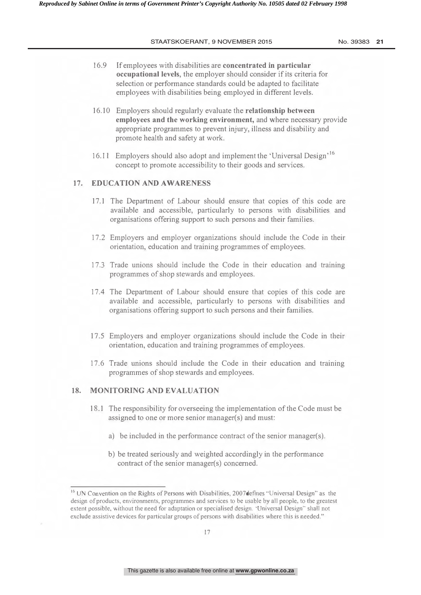- 16.9 If employees with disabilities are concentrated in particular occupational levels, the employer should consider if its criteria for selection or performance standards could be adapted to facilitate employees with disabilities being employed in different levels.
- 16.10 Employers should regularly evaluate the **relationship between** employees and the working environment, and where necessary provide appropriate programmes to prevent injury, illness and disability and promote health and safety at work.
- 16.11 Employers should also adopt and implement the 'Universal Design'<sup>16</sup> concept to promote accessibility to their goods and services.

#### 17. EDUCATION AND AWARENESS

- 17.1 The Department of Labour should ensure that copies of this code are available and accessible, particularly to persons with disabilities and organisations offering support to such persons and their families.
- 17.2 Employers and employer organizations should include the Code in their orientation, education and training programmes of employees.
- 17.3 Trade unions should include the Code in their education and training programmes of shop stewards and employees.
- 17.4 The Department of Labour should ensure that copies of this code are available and accessible, particularly to persons with disabilities and organisations offering support to such persons and their families.
- 17.5 Employers and employer organizations should include the Code in their orientation, education and training programmes of employees.
- 17.6 Trade unions should include the Code in their education and training programmes of shop stewards and employees.

#### 18. MONITORING AND EVALUATION

- 18.1 The responsibility for overseeing the implementation of the Code must be assigned to one or more senior manager(s) and must:
	- a) be included in the performance contract of the senior manager(s).
	- b) be treated seriously and weighted accordingly in the performance contract of the senior manager(s) concerned.

 $^{16}$  UN Convention on the Rights of Persons with Disabilities, 2007 defines "Universal Design" as the design of products, environments, programmes and services to be usable by all people, to the greatest extent possible, without the need for adaptation or specialised design. 'Universal Design'' shall not exclude assistive devices for particular groups of persons with disabilities where this is needed."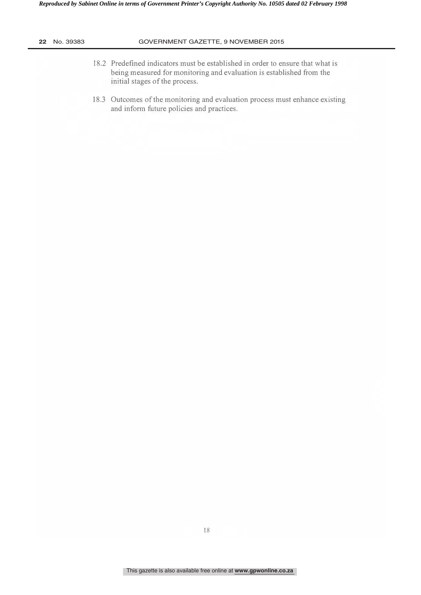| No. 39383 | GOVERNMENT GAZETTE, 9 NOVEMBER 2015                                                                                                                                                      |
|-----------|------------------------------------------------------------------------------------------------------------------------------------------------------------------------------------------|
|           | 18.2 Predefined indicators must be established in order to ensure that what is<br>being measured for monitoring and evaluation is established from the<br>initial stages of the process. |
|           | 18.3 Outcomes of the monitoring and evaluation process must enhance existing<br>and inform future policies and practices.                                                                |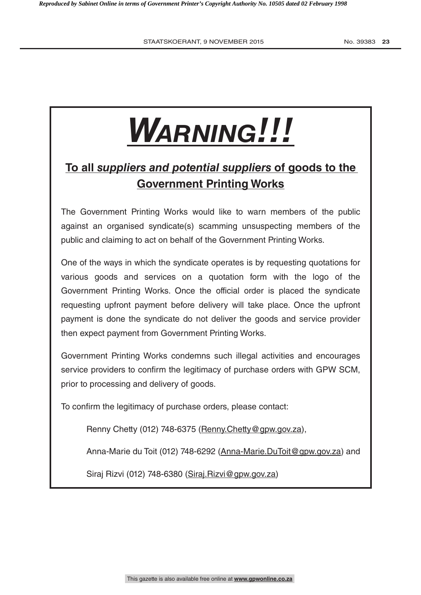# *Warning!!!*

# **To all** *suppliers and potential suppliers* **of goods to the Government Printing Works**

The Government Printing Works would like to warn members of the public against an organised syndicate(s) scamming unsuspecting members of the public and claiming to act on behalf of the Government Printing Works.

One of the ways in which the syndicate operates is by requesting quotations for various goods and services on a quotation form with the logo of the Government Printing Works. Once the official order is placed the syndicate requesting upfront payment before delivery will take place. Once the upfront payment is done the syndicate do not deliver the goods and service provider then expect payment from Government Printing Works.

Government Printing Works condemns such illegal activities and encourages service providers to confirm the legitimacy of purchase orders with GPW SCM, prior to processing and delivery of goods.

To confirm the legitimacy of purchase orders, please contact:

Renny Chetty (012) 748-6375 (Renny.Chetty@gpw.gov.za),

Anna-Marie du Toit (012) 748-6292 (Anna-Marie.DuToit@gpw.gov.za) and

Siraj Rizvi (012) 748-6380 (Siraj. Rizvi@gpw.gov.za)